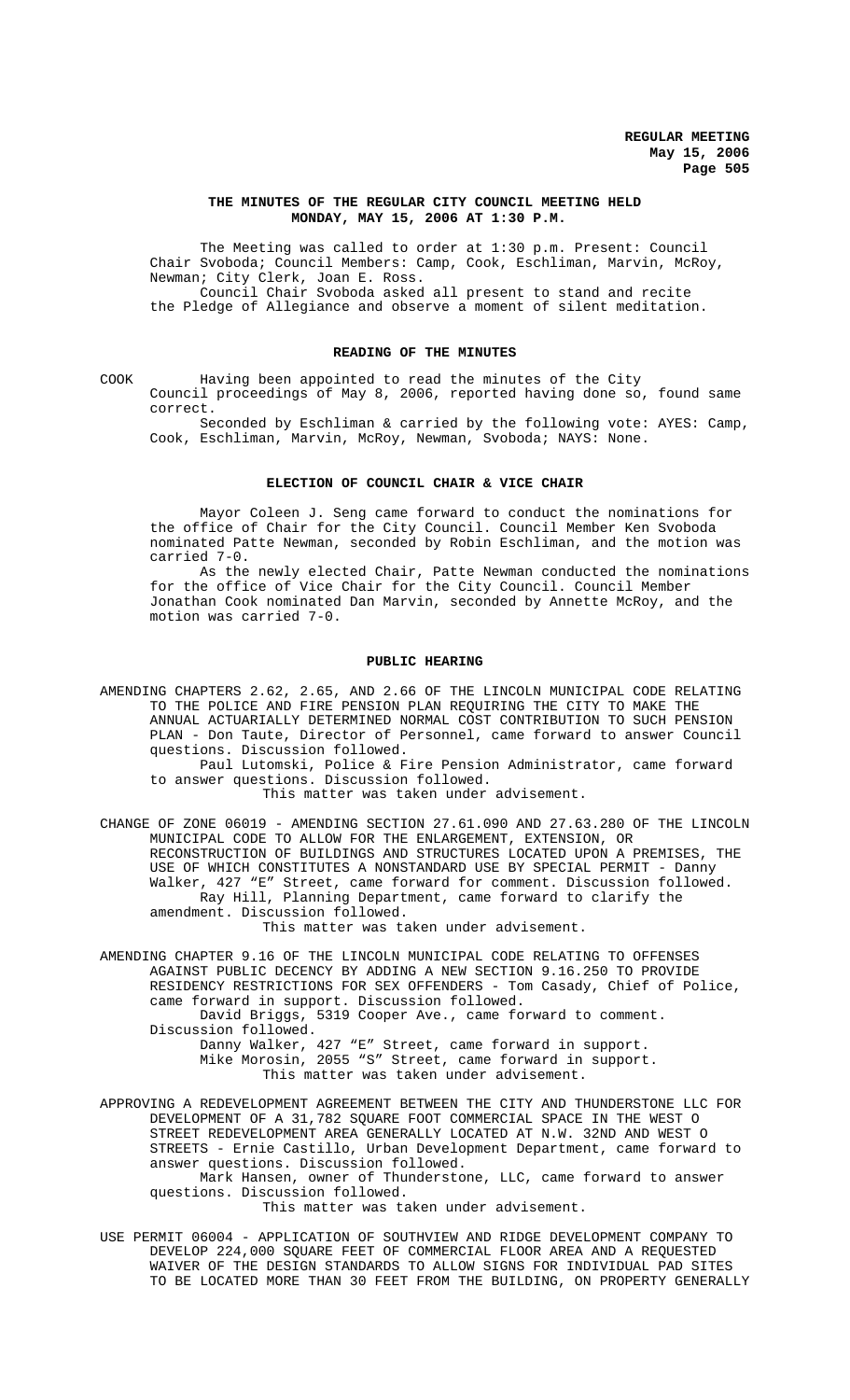# **THE MINUTES OF THE REGULAR CITY COUNCIL MEETING HELD MONDAY, MAY 15, 2006 AT 1:30 P.M.**

The Meeting was called to order at 1:30 p.m. Present: Council Chair Svoboda; Council Members: Camp, Cook, Eschliman, Marvin, McRoy, Newman; City Clerk, Joan E. Ross.

Council Chair Svoboda asked all present to stand and recite the Pledge of Allegiance and observe a moment of silent meditation.

# **READING OF THE MINUTES**

COOK Having been appointed to read the minutes of the City Council proceedings of May 8, 2006, reported having done so, found same correct.

Seconded by Eschliman & carried by the following vote: AYES: Camp, Cook, Eschliman, Marvin, McRoy, Newman, Svoboda; NAYS: None.

#### **ELECTION OF COUNCIL CHAIR & VICE CHAIR**

Mayor Coleen J. Seng came forward to conduct the nominations for the office of Chair for the City Council. Council Member Ken Svoboda nominated Patte Newman, seconded by Robin Eschliman, and the motion was carried 7-0.

As the newly elected Chair, Patte Newman conducted the nominations for the office of Vice Chair for the City Council. Council Member Jonathan Cook nominated Dan Marvin, seconded by Annette McRoy, and the motion was carried 7-0.

#### **PUBLIC HEARING**

AMENDING CHAPTERS 2.62, 2.65, AND 2.66 OF THE LINCOLN MUNICIPAL CODE RELATING TO THE POLICE AND FIRE PENSION PLAN REQUIRING THE CITY TO MAKE THE ANNUAL ACTUARIALLY DETERMINED NORMAL COST CONTRIBUTION TO SUCH PENSION PLAN - Don Taute, Director of Personnel, came forward to answer Council questions. Discussion followed.

Paul Lutomski, Police & Fire Pension Administrator, came forward to answer questions. Discussion followed.

This matter was taken under advisement.

CHANGE OF ZONE 06019 - AMENDING SECTION 27.61.090 AND 27.63.280 OF THE LINCOLN MUNICIPAL CODE TO ALLOW FOR THE ENLARGEMENT, EXTENSION, OR RECONSTRUCTION OF BUILDINGS AND STRUCTURES LOCATED UPON A PREMISES, THE USE OF WHICH CONSTITUTES A NONSTANDARD USE BY SPECIAL PERMIT - Danny Walker, 427 "E" Street, came forward for comment. Discussion followed. Ray Hill, Planning Department, came forward to clarify the amendment. Discussion followed.

This matter was taken under advisement.

AMENDING CHAPTER 9.16 OF THE LINCOLN MUNICIPAL CODE RELATING TO OFFENSES AGAINST PUBLIC DECENCY BY ADDING A NEW SECTION 9.16.250 TO PROVIDE RESIDENCY RESTRICTIONS FOR SEX OFFENDERS - Tom Casady, Chief of Police, came forward in support. Discussion followed.

David Briggs, 5319 Cooper Ave., came forward to comment. Discussion followed.

Danny Walker, 427 "E" Street, came forward in support. Mike Morosin, 2055 "S" Street, came forward in support. This matter was taken under advisement.

APPROVING A REDEVELOPMENT AGREEMENT BETWEEN THE CITY AND THUNDERSTONE LLC FOR DEVELOPMENT OF A 31,782 SQUARE FOOT COMMERCIAL SPACE IN THE WEST O STREET REDEVELOPMENT AREA GENERALLY LOCATED AT N.W. 32ND AND WEST O STREETS - Ernie Castillo, Urban Development Department, came forward to answer questions. Discussion followed.

Mark Hansen, owner of Thunderstone, LLC, came forward to answer questions. Discussion followed.

This matter was taken under advisement.

USE PERMIT 06004 - APPLICATION OF SOUTHVIEW AND RIDGE DEVELOPMENT COMPANY TO DEVELOP 224,000 SQUARE FEET OF COMMERCIAL FLOOR AREA AND A REQUESTED WAIVER OF THE DESIGN STANDARDS TO ALLOW SIGNS FOR INDIVIDUAL PAD SITES TO BE LOCATED MORE THAN 30 FEET FROM THE BUILDING, ON PROPERTY GENERALLY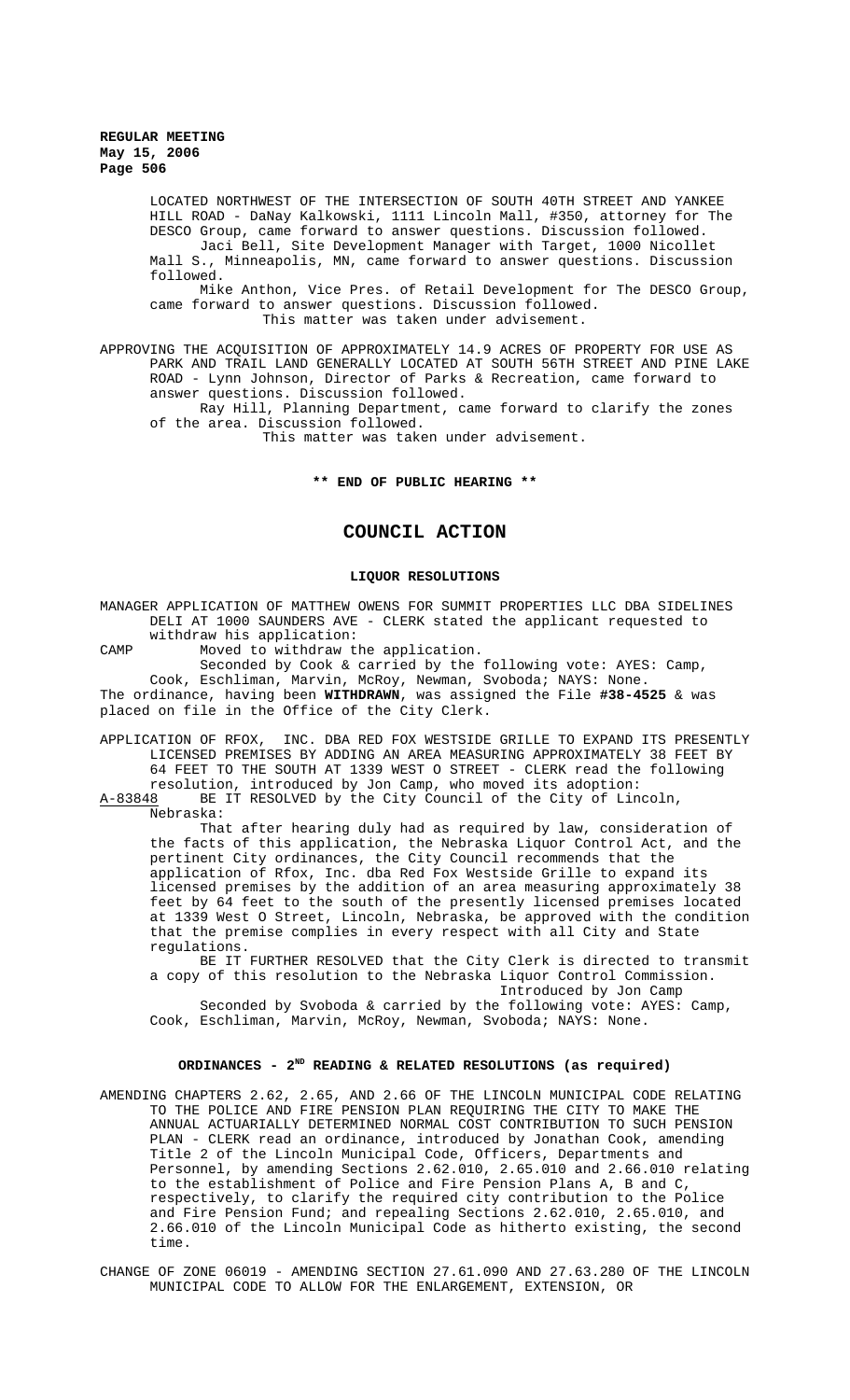LOCATED NORTHWEST OF THE INTERSECTION OF SOUTH 40TH STREET AND YANKEE HILL ROAD - DaNay Kalkowski, 1111 Lincoln Mall, #350, attorney for The DESCO Group, came forward to answer questions. Discussion followed. Jaci Bell, Site Development Manager with Target, 1000 Nicollet Mall S., Minneapolis, MN, came forward to answer questions. Discussion followed. Mike Anthon, Vice Pres. of Retail Development for The DESCO Group, came forward to answer questions. Discussion followed.

This matter was taken under advisement.

APPROVING THE ACQUISITION OF APPROXIMATELY 14.9 ACRES OF PROPERTY FOR USE AS PARK AND TRAIL LAND GENERALLY LOCATED AT SOUTH 56TH STREET AND PINE LAKE ROAD - Lynn Johnson, Director of Parks & Recreation, came forward to answer questions. Discussion followed.

Ray Hill, Planning Department, came forward to clarify the zones of the area. Discussion followed.

This matter was taken under advisement.

# **\*\* END OF PUBLIC HEARING \*\***

# **COUNCIL ACTION**

#### **LIQUOR RESOLUTIONS**

MANAGER APPLICATION OF MATTHEW OWENS FOR SUMMIT PROPERTIES LLC DBA SIDELINES DELI AT 1000 SAUNDERS AVE - CLERK stated the applicant requested to withdraw his application:

CAMP Moved to withdraw the application.

Seconded by Cook & carried by the following vote: AYES: Camp, Cook, Eschliman, Marvin, McRoy, Newman, Svoboda; NAYS: None. The ordinance, having been **WITHDRAWN**, was assigned the File **#38-4525** & was placed on file in the Office of the City Clerk.

APPLICATION OF RFOX, INC. DBA RED FOX WESTSIDE GRILLE TO EXPAND ITS PRESENTLY LICENSED PREMISES BY ADDING AN AREA MEASURING APPROXIMATELY 38 FEET BY 64 FEET TO THE SOUTH AT 1339 WEST O STREET - CLERK read the following resolution, introduced by Jon Camp, who moved its adoption:<br>A-83848 BE IT RESOLVED by the City Council of the City of Lin

BE IT RESOLVED by the City Council of the City of Lincoln, Nebraska:

That after hearing duly had as required by law, consideration of the facts of this application, the Nebraska Liquor Control Act, and the pertinent City ordinances, the City Council recommends that the application of Rfox, Inc. dba Red Fox Westside Grille to expand its licensed premises by the addition of an area measuring approximately 38 feet by 64 feet to the south of the presently licensed premises located at 1339 West O Street, Lincoln, Nebraska, be approved with the condition that the premise complies in every respect with all City and State regulations.

BE IT FURTHER RESOLVED that the City Clerk is directed to transmit a copy of this resolution to the Nebraska Liquor Control Commission. Introduced by Jon Camp

Seconded by Svoboda & carried by the following vote: AYES: Camp, Cook, Eschliman, Marvin, McRoy, Newman, Svoboda; NAYS: None.

# **ORDINANCES - 2ND READING & RELATED RESOLUTIONS (as required)**

- AMENDING CHAPTERS 2.62, 2.65, AND 2.66 OF THE LINCOLN MUNICIPAL CODE RELATING TO THE POLICE AND FIRE PENSION PLAN REQUIRING THE CITY TO MAKE THE ANNUAL ACTUARIALLY DETERMINED NORMAL COST CONTRIBUTION TO SUCH PENSION PLAN - CLERK read an ordinance, introduced by Jonathan Cook, amending Title 2 of the Lincoln Municipal Code, Officers, Departments and Personnel, by amending Sections 2.62.010, 2.65.010 and 2.66.010 relating to the establishment of Police and Fire Pension Plans A, B and C, respectively, to clarify the required city contribution to the Police and Fire Pension Fund; and repealing Sections 2.62.010, 2.65.010, and 2.66.010 of the Lincoln Municipal Code as hitherto existing, the second time.
- CHANGE OF ZONE 06019 AMENDING SECTION 27.61.090 AND 27.63.280 OF THE LINCOLN MUNICIPAL CODE TO ALLOW FOR THE ENLARGEMENT, EXTENSION, OR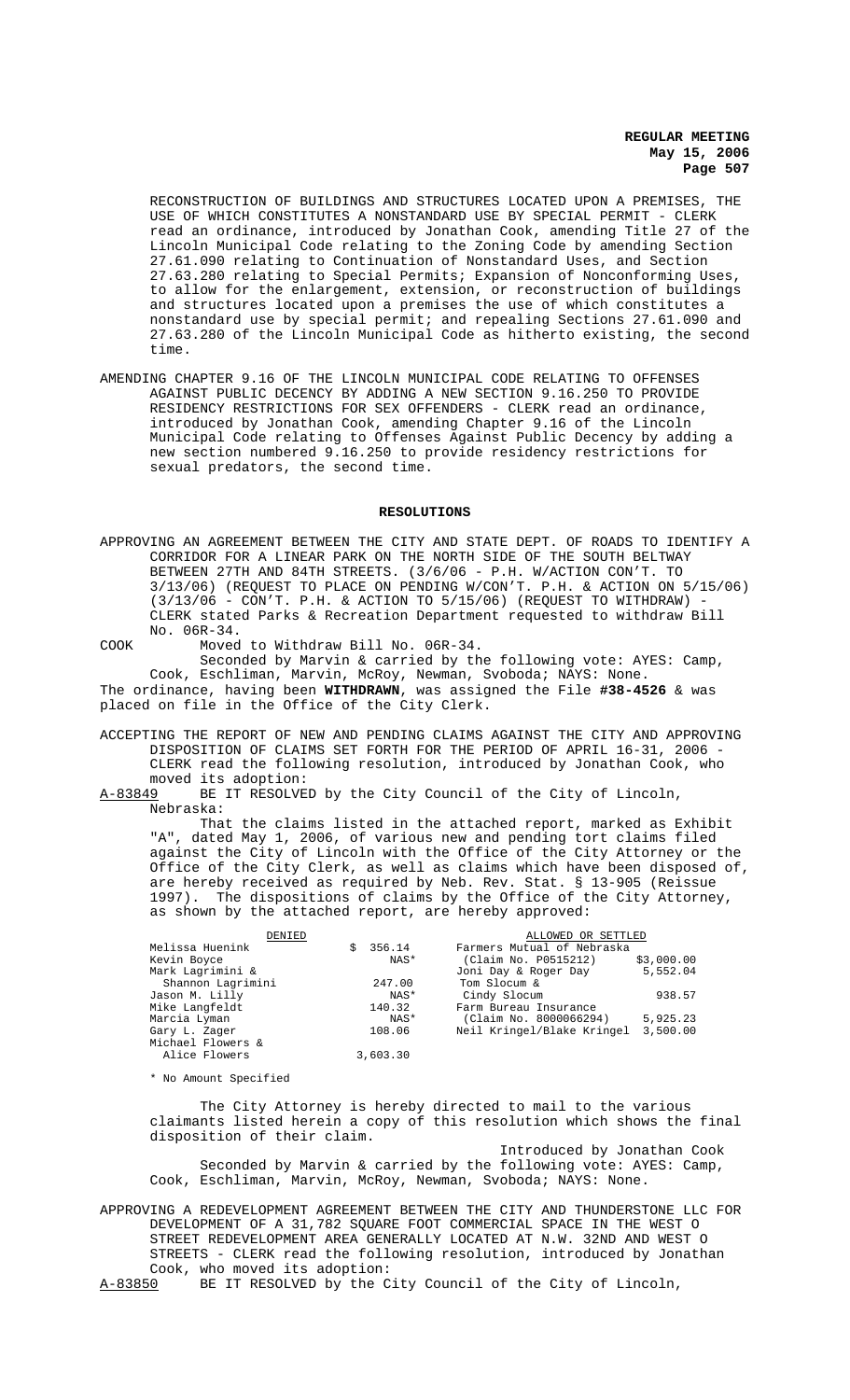RECONSTRUCTION OF BUILDINGS AND STRUCTURES LOCATED UPON A PREMISES, THE USE OF WHICH CONSTITUTES A NONSTANDARD USE BY SPECIAL PERMIT - CLERK read an ordinance, introduced by Jonathan Cook, amending Title 27 of the Lincoln Municipal Code relating to the Zoning Code by amending Section 27.61.090 relating to Continuation of Nonstandard Uses, and Section 27.63.280 relating to Special Permits; Expansion of Nonconforming Uses, to allow for the enlargement, extension, or reconstruction of buildings and structures located upon a premises the use of which constitutes a nonstandard use by special permit; and repealing Sections 27.61.090 and 27.63.280 of the Lincoln Municipal Code as hitherto existing, the second time.

AMENDING CHAPTER 9.16 OF THE LINCOLN MUNICIPAL CODE RELATING TO OFFENSES AGAINST PUBLIC DECENCY BY ADDING A NEW SECTION 9.16.250 TO PROVIDE RESIDENCY RESTRICTIONS FOR SEX OFFENDERS - CLERK read an ordinance, introduced by Jonathan Cook, amending Chapter 9.16 of the Lincoln Municipal Code relating to Offenses Against Public Decency by adding a new section numbered 9.16.250 to provide residency restrictions for sexual predators, the second time.

### **RESOLUTIONS**

APPROVING AN AGREEMENT BETWEEN THE CITY AND STATE DEPT. OF ROADS TO IDENTIFY A CORRIDOR FOR A LINEAR PARK ON THE NORTH SIDE OF THE SOUTH BELTWAY BETWEEN 27TH AND 84TH STREETS. (3/6/06 - P.H. W/ACTION CON'T. TO 3/13/06) (REQUEST TO PLACE ON PENDING W/CON'T. P.H. & ACTION ON 5/15/06)  $(3/13/06$  - CON'T. P.H. & ACTION TO  $5/15/06$ ) (REQUEST TO WITHDRAW) CLERK stated Parks & Recreation Department requested to withdraw Bill No. 06R-34.

COOK Moved to Withdraw Bill No. 06R-34.

Seconded by Marvin & carried by the following vote: AYES: Camp, Cook, Eschliman, Marvin, McRoy, Newman, Svoboda; NAYS: None. The ordinance, having been **WITHDRAWN**, was assigned the File **#38-4526** & was placed on file in the Office of the City Clerk.

ACCEPTING THE REPORT OF NEW AND PENDING CLAIMS AGAINST THE CITY AND APPROVING DISPOSITION OF CLAIMS SET FORTH FOR THE PERIOD OF APRIL 16-31, 2006 - CLERK read the following resolution, introduced by Jonathan Cook, who moved its adoption:<br>A-83849 BE IT RESOLVE

BE IT RESOLVED by the City Council of the City of Lincoln, Nebraska:

That the claims listed in the attached report, marked as Exhibit "A", dated May 1, 2006, of various new and pending tort claims filed against the City of Lincoln with the Office of the City Attorney or the Office of the City Clerk, as well as claims which have been disposed of, are hereby received as required by Neb. Rev. Stat. § 13-905 (Reissue 1997). The dispositions of claims by the Office of the City Attorney, as shown by the attached report, are hereby approved:

| DENIED            |             | ALLOWED OR SETTLED         |            |
|-------------------|-------------|----------------------------|------------|
| Melissa Huenink   | 356.14<br>S | Farmers Mutual of Nebraska |            |
| Kevin Boyce       | NAS*        | (Claim No. P0515212)       | \$3,000.00 |
| Mark Lagrimini &  |             | Joni Day & Roger Day       | 5,552.04   |
| Shannon Lagrimini | 247.00      | Tom Slocum &               |            |
| Jason M. Lilly    | NAS*        | Cindy Slocum               | 938.57     |
| Mike Langfeldt    | 140.32      | Farm Bureau Insurance      |            |
| Marcia Lyman      | NAS*        | (Claim No. 8000066294)     | 5,925.23   |
| Gary L. Zager     | 108.06      | Neil Kringel/Blake Kringel | 3,500.00   |
| Michael Flowers & |             |                            |            |
| Alice Flowers     | 3,603.30    |                            |            |

\* No Amount Specified

The City Attorney is hereby directed to mail to the various claimants listed herein a copy of this resolution which shows the final disposition of their claim.

Introduced by Jonathan Cook Seconded by Marvin & carried by the following vote: AYES: Camp, Cook, Eschliman, Marvin, McRoy, Newman, Svoboda; NAYS: None.

APPROVING A REDEVELOPMENT AGREEMENT BETWEEN THE CITY AND THUNDERSTONE LLC FOR DEVELOPMENT OF A 31,782 SQUARE FOOT COMMERCIAL SPACE IN THE WEST O STREET REDEVELOPMENT AREA GENERALLY LOCATED AT N.W. 32ND AND WEST O STREETS - CLERK read the following resolution, introduced by Jonathan Cook, who moved its adoption:<br>A-83850 BE IT RESOLVED by the C

BE IT RESOLVED by the City Council of the City of Lincoln,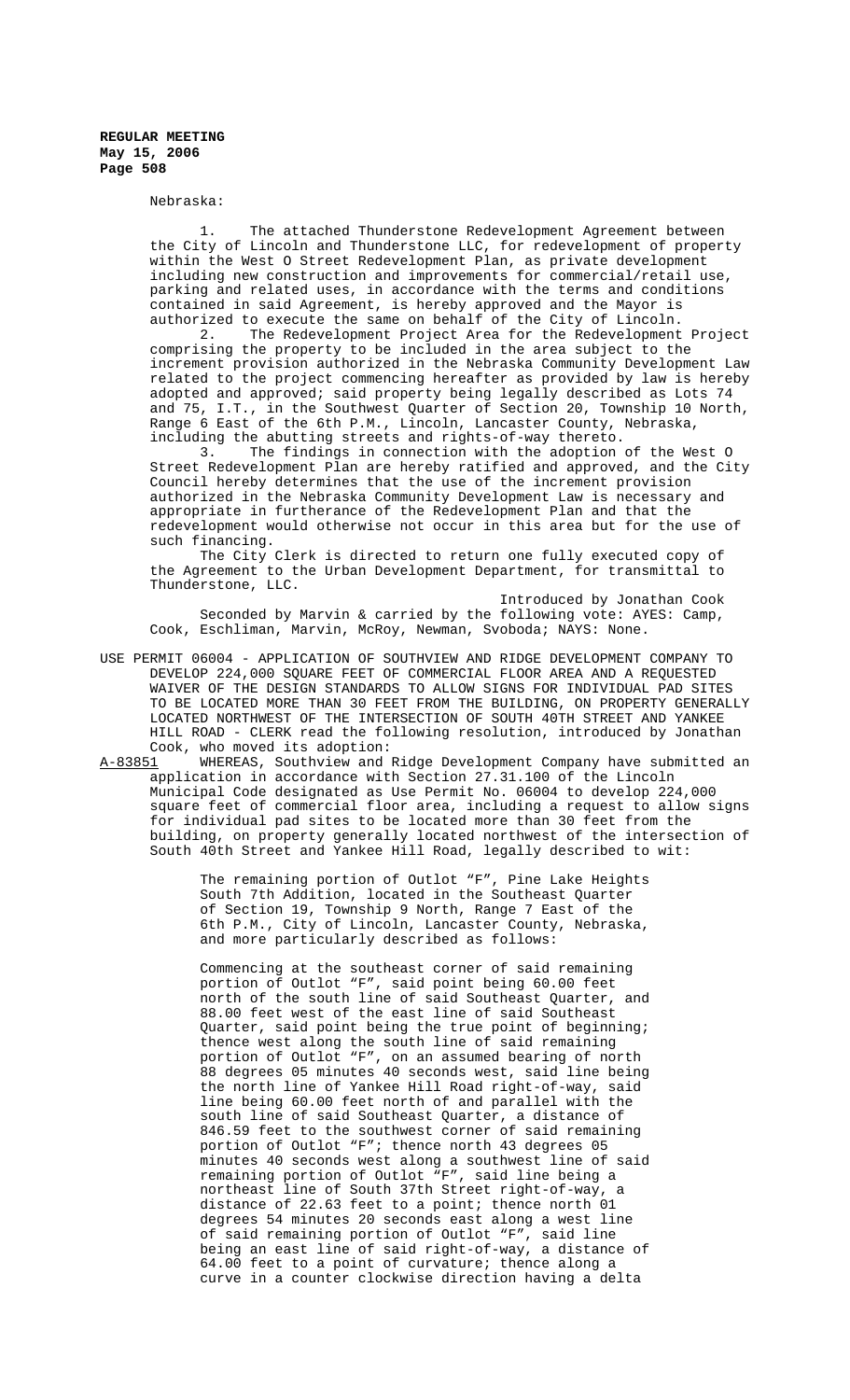Nebraska:

The attached Thunderstone Redevelopment Agreement between the City of Lincoln and Thunderstone LLC, for redevelopment of property within the West O Street Redevelopment Plan, as private development including new construction and improvements for commercial/retail use, parking and related uses, in accordance with the terms and conditions contained in said Agreement, is hereby approved and the Mayor is authorized to execute the same on behalf of the City of Lincoln.<br>2 The Redevelopment Project Area for the Redevelopment

The Redevelopment Project Area for the Redevelopment Project comprising the property to be included in the area subject to the increment provision authorized in the Nebraska Community Development Law related to the project commencing hereafter as provided by law is hereby adopted and approved; said property being legally described as Lots 74 and 75, I.T., in the Southwest Quarter of Section 20, Township 10 North, Range 6 East of the 6th P.M., Lincoln, Lancaster County, Nebraska, including the abutting streets and rights-of-way thereto.

3. The findings in connection with the adoption of the West O Street Redevelopment Plan are hereby ratified and approved, and the City Council hereby determines that the use of the increment provision authorized in the Nebraska Community Development Law is necessary and appropriate in furtherance of the Redevelopment Plan and that the redevelopment would otherwise not occur in this area but for the use of such financing.

The City Clerk is directed to return one fully executed copy of the Agreement to the Urban Development Department, for transmittal to Thunderstone, LLC.

Introduced by Jonathan Cook Seconded by Marvin & carried by the following vote: AYES: Camp, Cook, Eschliman, Marvin, McRoy, Newman, Svoboda; NAYS: None.

- USE PERMIT 06004 APPLICATION OF SOUTHVIEW AND RIDGE DEVELOPMENT COMPANY TO DEVELOP 224,000 SQUARE FEET OF COMMERCIAL FLOOR AREA AND A REQUESTED WAIVER OF THE DESIGN STANDARDS TO ALLOW SIGNS FOR INDIVIDUAL PAD SITES TO BE LOCATED MORE THAN 30 FEET FROM THE BUILDING, ON PROPERTY GENERALLY LOCATED NORTHWEST OF THE INTERSECTION OF SOUTH 40TH STREET AND YANKEE HILL ROAD - CLERK read the following resolution, introduced by Jonathan Cook, who moved its adoption:<br>A-83851 WHEREAS, Southview and
- WHEREAS, Southview and Ridge Development Company have submitted an application in accordance with Section 27.31.100 of the Lincoln Municipal Code designated as Use Permit No. 06004 to develop 224,000 square feet of commercial floor area, including a request to allow signs for individual pad sites to be located more than 30 feet from the building, on property generally located northwest of the intersection of South 40th Street and Yankee Hill Road, legally described to wit:

The remaining portion of Outlot "F", Pine Lake Heights South 7th Addition, located in the Southeast Quarter of Section 19, Township 9 North, Range 7 East of the 6th P.M., City of Lincoln, Lancaster County, Nebraska, and more particularly described as follows:

Commencing at the southeast corner of said remaining portion of Outlot "F", said point being 60.00 feet north of the south line of said Southeast Quarter, and 88.00 feet west of the east line of said Southeast Quarter, said point being the true point of beginning; thence west along the south line of said remaining portion of Outlot "F", on an assumed bearing of north 88 degrees 05 minutes 40 seconds west, said line being the north line of Yankee Hill Road right-of-way, said line being 60.00 feet north of and parallel with the south line of said Southeast Quarter, a distance of 846.59 feet to the southwest corner of said remaining portion of Outlot "F"; thence north 43 degrees 05 minutes 40 seconds west along a southwest line of said remaining portion of Outlot "F", said line being a northeast line of South 37th Street right-of-way, a distance of 22.63 feet to a point; thence north 01 degrees 54 minutes 20 seconds east along a west line of said remaining portion of Outlot "F", said line being an east line of said right-of-way, a distance of 64.00 feet to a point of curvature; thence along a curve in a counter clockwise direction having a delta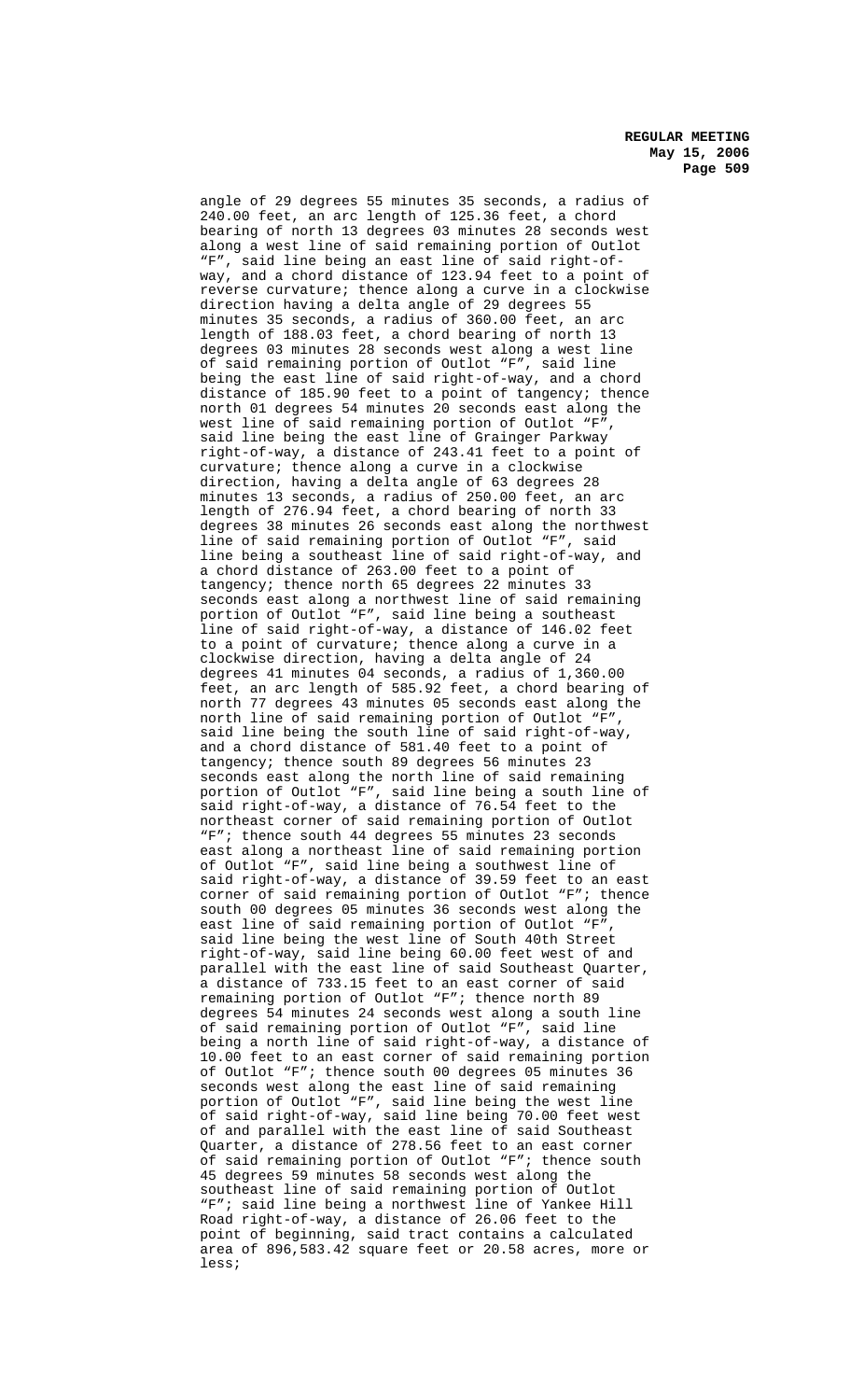angle of 29 degrees 55 minutes 35 seconds, a radius of 240.00 feet, an arc length of 125.36 feet, a chord bearing of north 13 degrees 03 minutes 28 seconds west along a west line of said remaining portion of Outlot "F", said line being an east line of said right-ofway, and a chord distance of 123.94 feet to a point of reverse curvature; thence along a curve in a clockwise direction having a delta angle of 29 degrees 55 minutes 35 seconds, a radius of 360.00 feet, an arc length of 188.03 feet, a chord bearing of north 13 degrees 03 minutes 28 seconds west along a west line of said remaining portion of Outlot "F", said line being the east line of said right-of-way, and a chord distance of 185.90 feet to a point of tangency; thence north 01 degrees 54 minutes 20 seconds east along the west line of said remaining portion of Outlot "F", said line being the east line of Grainger Parkway right-of-way, a distance of 243.41 feet to a point of curvature; thence along a curve in a clockwise direction, having a delta angle of 63 degrees 28 minutes 13 seconds, a radius of 250.00 feet, an arc length of 276.94 feet, a chord bearing of north 33 degrees 38 minutes 26 seconds east along the northwest line of said remaining portion of Outlot "F", said line being a southeast line of said right-of-way, and a chord distance of 263.00 feet to a point of tangency; thence north 65 degrees 22 minutes 33 seconds east along a northwest line of said remaining portion of Outlot "F", said line being a southeast line of said right-of-way, a distance of 146.02 feet to a point of curvature; thence along a curve in a clockwise direction, having a delta angle of 24 degrees 41 minutes 04 seconds, a radius of 1,360.00 feet, an arc length of 585.92 feet, a chord bearing of north 77 degrees 43 minutes 05 seconds east along the north line of said remaining portion of Outlot "F' said line being the south line of said right-of-way, and a chord distance of 581.40 feet to a point of tangency; thence south 89 degrees 56 minutes 23 seconds east along the north line of said remaining portion of Outlot "F", said line being a south line of said right-of-way, a distance of 76.54 feet to the northeast corner of said remaining portion of Outlot "F"; thence south 44 degrees 55 minutes 23 seconds east along a northeast line of said remaining portion of Outlot "F", said line being a southwest line of said right-of-way, a distance of 39.59 feet to an east corner of said remaining portion of Outlot "F"; thence south 00 degrees 05 minutes 36 seconds west along the east line of said remaining portion of Outlot "F said line being the west line of South 40th Street right-of-way, said line being 60.00 feet west of and parallel with the east line of said Southeast Quarter, a distance of 733.15 feet to an east corner of said remaining portion of Outlot "F"; thence north 89 degrees 54 minutes 24 seconds west along a south line of said remaining portion of Outlot "F", said line being a north line of said right-of-way, a distance of 10.00 feet to an east corner of said remaining portion of Outlot "F"; thence south 00 degrees 05 minutes 36 seconds west along the east line of said remaining portion of Outlot "F", said line being the west line of said right-of-way, said line being 70.00 feet west of and parallel with the east line of said Southeast Quarter, a distance of 278.56 feet to an east corner of said remaining portion of Outlot "F"; thence south 45 degrees 59 minutes 58 seconds west along the southeast line of said remaining portion of Outlot "F"; said line being a northwest line of Yankee Hill Road right-of-way, a distance of 26.06 feet to the point of beginning, said tract contains a calculated area of 896,583.42 square feet or 20.58 acres, more or less;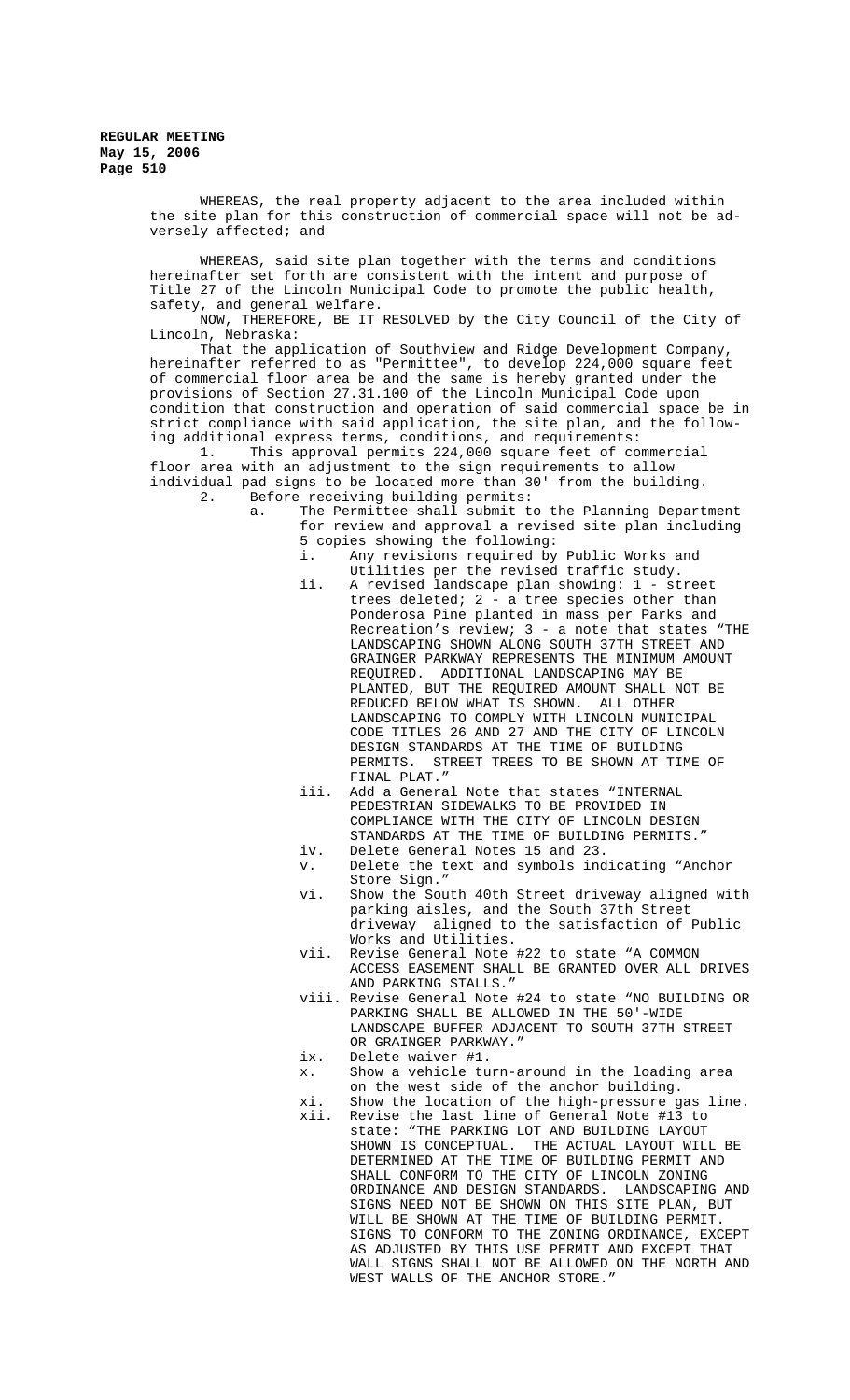> WHEREAS, the real property adjacent to the area included within the site plan for this construction of commercial space will not be adversely affected; and

WHEREAS, said site plan together with the terms and conditions hereinafter set forth are consistent with the intent and purpose of Title 27 of the Lincoln Municipal Code to promote the public health, safety, and general welfare.

NOW, THEREFORE, BE IT RESOLVED by the City Council of the City of Lincoln, Nebraska:

That the application of Southview and Ridge Development Company, hereinafter referred to as "Permittee", to develop 224,000 square feet of commercial floor area be and the same is hereby granted under the provisions of Section 27.31.100 of the Lincoln Municipal Code upon condition that construction and operation of said commercial space be in strict compliance with said application, the site plan, and the following additional express terms, conditions, and requirements:

1. This approval permits 224,000 square feet of commercial floor area with an adjustment to the sign requirements to allow individual pad signs to be located more than 30' from the building. 2. Before receiving building permits:

a. The Permittee shall submit to the Planning Department for review and approval a revised site plan including 5 copies showing the following:<br>i. Any revisions required by

- Any revisions required by Public Works and Utilities per the revised traffic study.
- ii. A revised landscape plan showing: 1 street trees deleted; 2 - a tree species other than Ponderosa Pine planted in mass per Parks and Recreation's review; 3 - a note that states "THE LANDSCAPING SHOWN ALONG SOUTH 37TH STREET AND GRAINGER PARKWAY REPRESENTS THE MINIMUM AMOUNT REQUIRED. ADDITIONAL LANDSCAPING MAY BE PLANTED, BUT THE REQUIRED AMOUNT SHALL NOT BE REDUCED BELOW WHAT IS SHOWN. ALL OTHER LANDSCAPING TO COMPLY WITH LINCOLN MUNICIPAL CODE TITLES 26 AND 27 AND THE CITY OF LINCOLN DESIGN STANDARDS AT THE TIME OF BUILDING PERMITS. STREET TREES TO BE SHOWN AT TIME OF FINAL PLAT."
- iii. Add a General Note that states "INTERNAL PEDESTRIAN SIDEWALKS TO BE PROVIDED IN COMPLIANCE WITH THE CITY OF LINCOLN DESIGN STANDARDS AT THE TIME OF BUILDING PERMITS."
- iv. Delete General Notes 15 and 23.
- v. Delete the text and symbols indicating "Anchor Store Sign."
- vi. Show the South 40th Street driveway aligned with parking aisles, and the South 37th Street driveway aligned to the satisfaction of Public Works and Utilities.
- vii. Revise General Note #22 to state "A COMMON ACCESS EASEMENT SHALL BE GRANTED OVER ALL DRIVES AND PARKING STALLS."
- viii. Revise General Note #24 to state "NO BUILDING OR PARKING SHALL BE ALLOWED IN THE 50'-WIDE LANDSCAPE BUFFER ADJACENT TO SOUTH 37TH STREET OR GRAINGER PARKWAY."
- ix. Delete waiver #1.
- x. Show a vehicle turn-around in the loading area on the west side of the anchor building.
- xi. Show the location of the high-pressure gas line. xii. Revise the last line of General Note #13 to
	- state: "THE PARKING LOT AND BUILDING LAYOUT SHOWN IS CONCEPTUAL. THE ACTUAL LAYOUT WILL BE DETERMINED AT THE TIME OF BUILDING PERMIT AND SHALL CONFORM TO THE CITY OF LINCOLN ZONING ORDINANCE AND DESIGN STANDARDS. LANDSCAPING AND SIGNS NEED NOT BE SHOWN ON THIS SITE PLAN, BUT WILL BE SHOWN AT THE TIME OF BUILDING PERMIT. SIGNS TO CONFORM TO THE ZONING ORDINANCE, EXCEPT AS ADJUSTED BY THIS USE PERMIT AND EXCEPT THAT WALL SIGNS SHALL NOT BE ALLOWED ON THE NORTH AND WEST WALLS OF THE ANCHOR STORE.'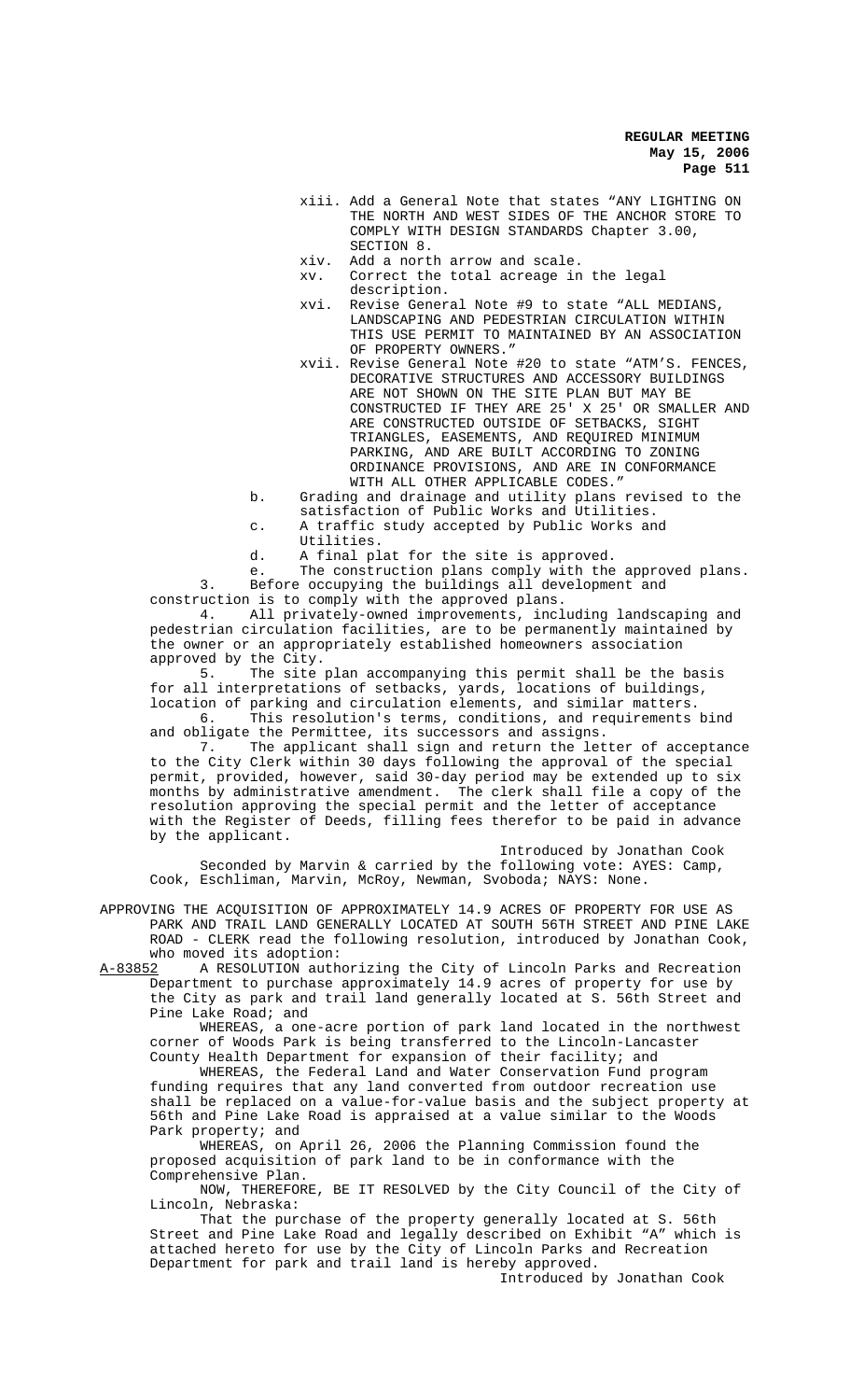- xiii. Add a General Note that states "ANY LIGHTING ON THE NORTH AND WEST SIDES OF THE ANCHOR STORE TO COMPLY WITH DESIGN STANDARDS Chapter 3.00, SECTION 8.
- xiv. Add a north arrow and scale.
- xv. Correct the total acreage in the legal description.
- xvi. Revise General Note #9 to state "ALL MEDIANS, LANDSCAPING AND PEDESTRIAN CIRCULATION WITHIN THIS USE PERMIT TO MAINTAINED BY AN ASSOCIATION OF PROPERTY OWNERS."
- xvii. Revise General Note #20 to state "ATM'S. FENCES, DECORATIVE STRUCTURES AND ACCESSORY BUILDINGS ARE NOT SHOWN ON THE SITE PLAN BUT MAY BE CONSTRUCTED IF THEY ARE 25' X 25' OR SMALLER AND ARE CONSTRUCTED OUTSIDE OF SETBACKS, SIGHT TRIANGLES, EASEMENTS, AND REQUIRED MINIMUM PARKING, AND ARE BUILT ACCORDING TO ZONING ORDINANCE PROVISIONS, AND ARE IN CONFORMANCE WITH ALL OTHER APPLICABLE CODES."
- b. Grading and drainage and utility plans revised to the satisfaction of Public Works and Utilities.
- c. A traffic study accepted by Public Works and
	- Utilities.
- d. A final plat for the site is approved.

e. The construction plans comply with the approved plans. 3. Before occupying the buildings all development and construction is to comply with the approved plans.

4. All privately-owned improvements, including landscaping and pedestrian circulation facilities, are to be permanently maintained by the owner or an appropriately established homeowners association approved by the City.

5. The site plan accompanying this permit shall be the basis for all interpretations of setbacks, yards, locations of buildings, location of parking and circulation elements, and similar matters.

6. This resolution's terms, conditions, and requirements bind and obligate the Permittee, its successors and assigns.

7. The applicant shall sign and return the letter of acceptance to the City Clerk within 30 days following the approval of the special permit, provided, however, said 30-day period may be extended up to six months by administrative amendment. The clerk shall file a copy of the resolution approving the special permit and the letter of acceptance with the Register of Deeds, filling fees therefor to be paid in advance by the applicant.

Introduced by Jonathan Cook Seconded by Marvin & carried by the following vote: AYES: Camp, Cook, Eschliman, Marvin, McRoy, Newman, Svoboda; NAYS: None.

APPROVING THE ACQUISITION OF APPROXIMATELY 14.9 ACRES OF PROPERTY FOR USE AS PARK AND TRAIL LAND GENERALLY LOCATED AT SOUTH 56TH STREET AND PINE LAKE ROAD - CLERK read the following resolution, introduced by Jonathan Cook,

who moved its adoption:<br><u>A-83852</u> A RESOLUTION auth A RESOLUTION authorizing the City of Lincoln Parks and Recreation Department to purchase approximately 14.9 acres of property for use by the City as park and trail land generally located at S. 56th Street and Pine Lake Road; and

WHEREAS, a one-acre portion of park land located in the northwest corner of Woods Park is being transferred to the Lincoln-Lancaster County Health Department for expansion of their facility; and

WHEREAS, the Federal Land and Water Conservation Fund program funding requires that any land converted from outdoor recreation use shall be replaced on a value-for-value basis and the subject property at 56th and Pine Lake Road is appraised at a value similar to the Woods Park property; and

WHEREAS, on April 26, 2006 the Planning Commission found the proposed acquisition of park land to be in conformance with the Comprehensive Plan.

NOW, THEREFORE, BE IT RESOLVED by the City Council of the City of Lincoln, Nebraska:

That the purchase of the property generally located at S. 56th Street and Pine Lake Road and legally described on Exhibit "A" which is attached hereto for use by the City of Lincoln Parks and Recreation Department for park and trail land is hereby approved.

Introduced by Jonathan Cook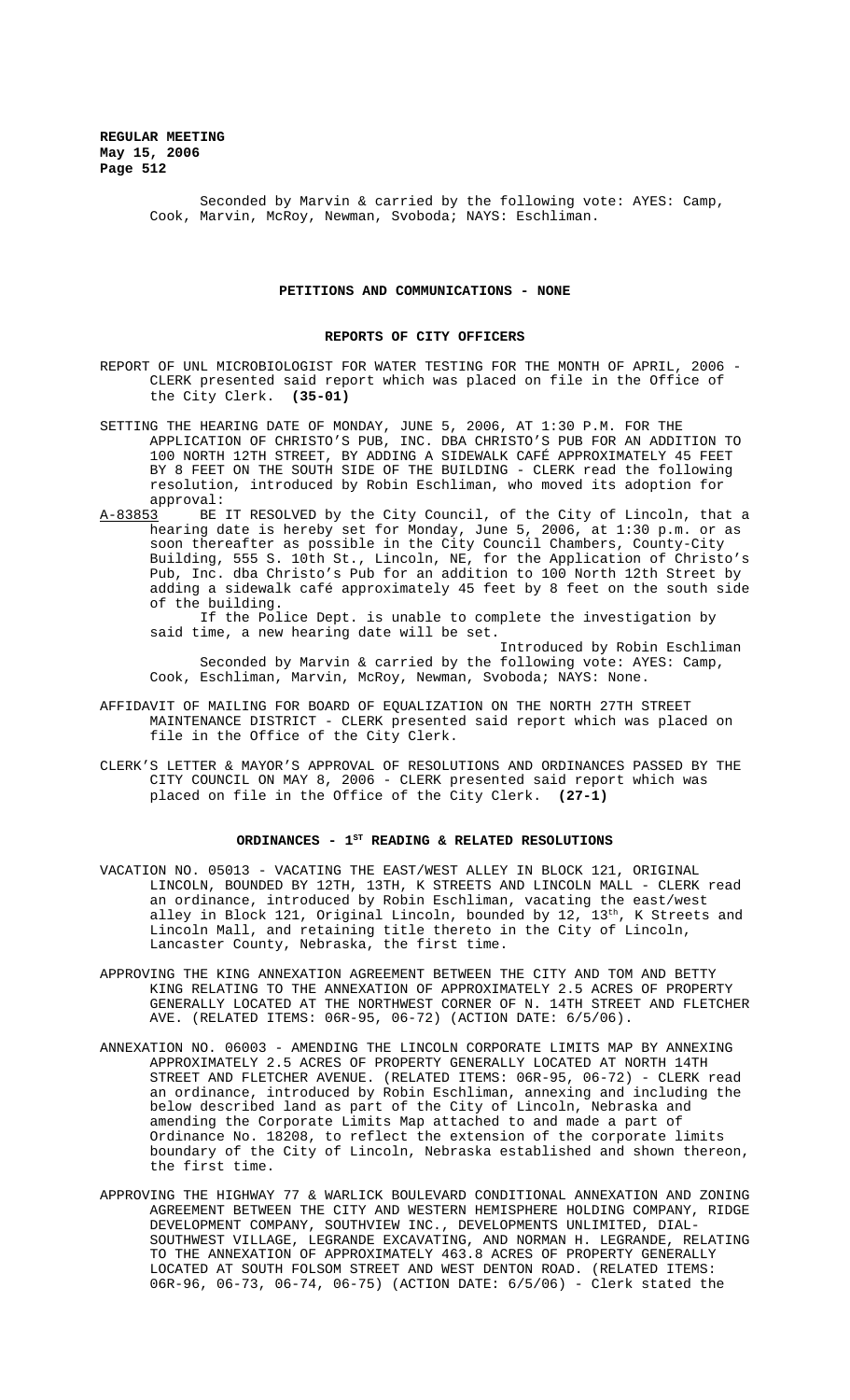Seconded by Marvin & carried by the following vote: AYES: Camp, Cook, Marvin, McRoy, Newman, Svoboda; NAYS: Eschliman.

#### **PETITIONS AND COMMUNICATIONS - NONE**

## **REPORTS OF CITY OFFICERS**

- REPORT OF UNL MICROBIOLOGIST FOR WATER TESTING FOR THE MONTH OF APRIL, 2006 CLERK presented said report which was placed on file in the Office of the City Clerk. **(35-01)**
- SETTING THE HEARING DATE OF MONDAY, JUNE 5, 2006, AT 1:30 P.M. FOR THE APPLICATION OF CHRISTO'S PUB, INC. DBA CHRISTO'S PUB FOR AN ADDITION TO 100 NORTH 12TH STREET, BY ADDING A SIDEWALK CAFÉ APPROXIMATELY 45 FEET BY 8 FEET ON THE SOUTH SIDE OF THE BUILDING - CLERK read the following resolution, introduced by Robin Eschliman, who moved its adoption for approval:<br>: A-83853 BE
- BE IT RESOLVED by the City Council, of the City of Lincoln, that a hearing date is hereby set for Monday, June 5, 2006, at 1:30 p.m. or as soon thereafter as possible in the City Council Chambers, County-City Building, 555 S. 10th St., Lincoln, NE, for the Application of Christo's Pub, Inc. dba Christo's Pub for an addition to 100 North 12th Street by adding a sidewalk café approximately 45 feet by 8 feet on the south side of the building.

If the Police Dept. is unable to complete the investigation by said time, a new hearing date will be set.

Introduced by Robin Eschliman Seconded by Marvin & carried by the following vote: AYES: Camp, Cook, Eschliman, Marvin, McRoy, Newman, Svoboda; NAYS: None.

- AFFIDAVIT OF MAILING FOR BOARD OF EQUALIZATION ON THE NORTH 27TH STREET MAINTENANCE DISTRICT - CLERK presented said report which was placed on file in the Office of the City Clerk.
- CLERK'S LETTER & MAYOR'S APPROVAL OF RESOLUTIONS AND ORDINANCES PASSED BY THE CITY COUNCIL ON MAY 8, 2006 - CLERK presented said report which was placed on file in the Office of the City Clerk. **(27-1)**

# ORDINANCES - 1<sup>st</sup> READING & RELATED RESOLUTIONS

- VACATION NO. 05013 VACATING THE EAST/WEST ALLEY IN BLOCK 121, ORIGINAL LINCOLN, BOUNDED BY 12TH, 13TH, K STREETS AND LINCOLN MALL - CLERK read an ordinance, introduced by Robin Eschliman, vacating the east/west alley in Block 121, Original Lincoln, bounded by  $12$ ,  $13^\mathrm{th}$ , K Streets and Lincoln Mall, and retaining title thereto in the City of Lincoln, Lancaster County, Nebraska, the first time.
- APPROVING THE KING ANNEXATION AGREEMENT BETWEEN THE CITY AND TOM AND BETTY KING RELATING TO THE ANNEXATION OF APPROXIMATELY 2.5 ACRES OF PROPERTY GENERALLY LOCATED AT THE NORTHWEST CORNER OF N. 14TH STREET AND FLETCHER AVE. (RELATED ITEMS: 06R-95, 06-72) (ACTION DATE: 6/5/06).
- ANNEXATION NO. 06003 AMENDING THE LINCOLN CORPORATE LIMITS MAP BY ANNEXING APPROXIMATELY 2.5 ACRES OF PROPERTY GENERALLY LOCATED AT NORTH 14TH STREET AND FLETCHER AVENUE. (RELATED ITEMS: 06R-95, 06-72) - CLERK read an ordinance, introduced by Robin Eschliman, annexing and including the below described land as part of the City of Lincoln, Nebraska and amending the Corporate Limits Map attached to and made a part of Ordinance No. 18208, to reflect the extension of the corporate limits boundary of the City of Lincoln, Nebraska established and shown thereon, the first time.
- APPROVING THE HIGHWAY 77 & WARLICK BOULEVARD CONDITIONAL ANNEXATION AND ZONING AGREEMENT BETWEEN THE CITY AND WESTERN HEMISPHERE HOLDING COMPANY, RIDGE DEVELOPMENT COMPANY, SOUTHVIEW INC., DEVELOPMENTS UNLIMITED, DIAL-SOUTHWEST VILLAGE, LEGRANDE EXCAVATING, AND NORMAN H. LEGRANDE, RELATING TO THE ANNEXATION OF APPROXIMATELY 463.8 ACRES OF PROPERTY GENERALLY LOCATED AT SOUTH FOLSOM STREET AND WEST DENTON ROAD. (RELATED ITEMS: 06R-96, 06-73, 06-74, 06-75) (ACTION DATE: 6/5/06) - Clerk stated the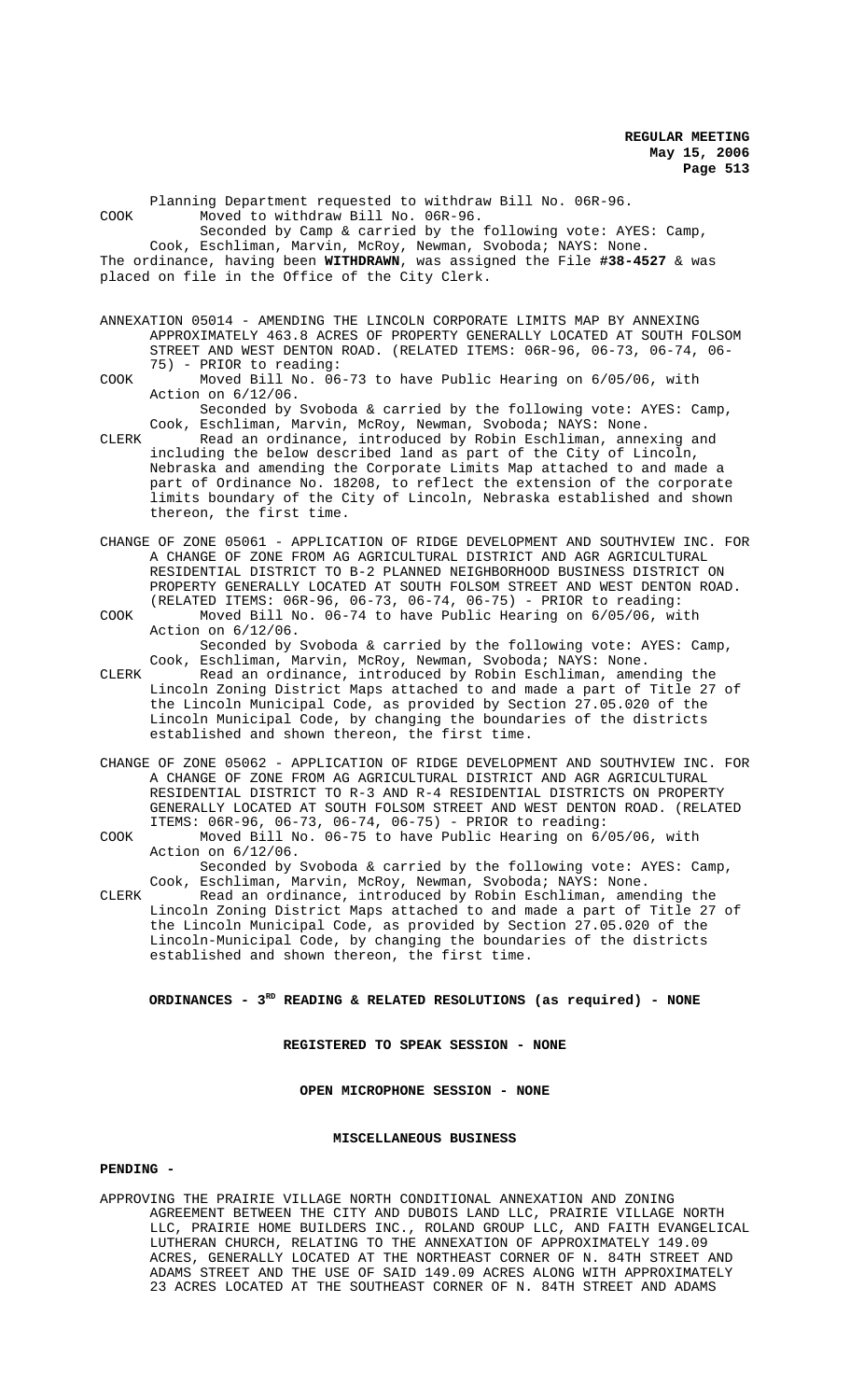Planning Department requested to withdraw Bill No. 06R-96. COOK Moved to withdraw Bill No. 06R-96. Seconded by Camp & carried by the following vote: AYES: Camp, Cook, Eschliman, Marvin, McRoy, Newman, Svoboda; NAYS: None. The ordinance, having been **WITHDRAWN**, was assigned the File **#38-4527** & was placed on file in the Office of the City Clerk. ANNEXATION 05014 - AMENDING THE LINCOLN CORPORATE LIMITS MAP BY ANNEXING APPROXIMATELY 463.8 ACRES OF PROPERTY GENERALLY LOCATED AT SOUTH FOLSOM STREET AND WEST DENTON ROAD. (RELATED ITEMS: 06R-96, 06-73, 06-74, 06- 75) - PRIOR to reading: COOK Moved Bill No. 06-73 to have Public Hearing on 6/05/06, with Action on 6/12/06. Seconded by Svoboda & carried by the following vote: AYES: Camp, Cook, Eschliman, Marvin, McRoy, Newman, Svoboda; NAYS: None. CLERK Read an ordinance, introduced by Robin Eschliman, annexing and including the below described land as part of the City of Lincoln, Nebraska and amending the Corporate Limits Map attached to and made a part of Ordinance No. 18208, to reflect the extension of the corporate limits boundary of the City of Lincoln, Nebraska established and shown thereon, the first time.

CHANGE OF ZONE 05061 - APPLICATION OF RIDGE DEVELOPMENT AND SOUTHVIEW INC. FOR A CHANGE OF ZONE FROM AG AGRICULTURAL DISTRICT AND AGR AGRICULTURAL RESIDENTIAL DISTRICT TO B-2 PLANNED NEIGHBORHOOD BUSINESS DISTRICT ON PROPERTY GENERALLY LOCATED AT SOUTH FOLSOM STREET AND WEST DENTON ROAD. (RELATED ITEMS: 06R-96, 06-73, 06-74, 06-75) - PRIOR to reading: COOK Moved Bill No. 06-74 to have Public Hearing on 6/05/06, with

Action on 6/12/06. Seconded by Svoboda & carried by the following vote: AYES: Camp, Cook, Eschliman, Marvin, McRoy, Newman, Svoboda; NAYS: None.

CLERK Read an ordinance, introduced by Robin Eschliman, amending the Lincoln Zoning District Maps attached to and made a part of Title 27 of the Lincoln Municipal Code, as provided by Section 27.05.020 of the Lincoln Municipal Code, by changing the boundaries of the districts established and shown thereon, the first time.

- CHANGE OF ZONE 05062 APPLICATION OF RIDGE DEVELOPMENT AND SOUTHVIEW INC. FOR A CHANGE OF ZONE FROM AG AGRICULTURAL DISTRICT AND AGR AGRICULTURAL RESIDENTIAL DISTRICT TO R-3 AND R-4 RESIDENTIAL DISTRICTS ON PROPERTY GENERALLY LOCATED AT SOUTH FOLSOM STREET AND WEST DENTON ROAD. (RELATED ITEMS: 06R-96, 06-73, 06-74, 06-75) - PRIOR to reading:
- COOK Moved Bill No. 06-75 to have Public Hearing on 6/05/06, with Action on 6/12/06. Seconded by Svoboda & carried by the following vote: AYES: Camp,

Cook, Eschliman, Marvin, McRoy, Newman, Svoboda; NAYS: None. CLERK Read an ordinance, introduced by Robin Eschliman, amending the Lincoln Zoning District Maps attached to and made a part of Title 27 of the Lincoln Municipal Code, as provided by Section 27.05.020 of the Lincoln-Municipal Code, by changing the boundaries of the districts established and shown thereon, the first time.

# **ORDINANCES - 3RD READING & RELATED RESOLUTIONS (as required) - NONE**

# **REGISTERED TO SPEAK SESSION - NONE**

**OPEN MICROPHONE SESSION - NONE**

# **MISCELLANEOUS BUSINESS**

## **PENDING -**

APPROVING THE PRAIRIE VILLAGE NORTH CONDITIONAL ANNEXATION AND ZONING AGREEMENT BETWEEN THE CITY AND DUBOIS LAND LLC, PRAIRIE VILLAGE NORTH LLC, PRAIRIE HOME BUILDERS INC., ROLAND GROUP LLC, AND FAITH EVANGELICAL LUTHERAN CHURCH, RELATING TO THE ANNEXATION OF APPROXIMATELY 149.09 ACRES, GENERALLY LOCATED AT THE NORTHEAST CORNER OF N. 84TH STREET AND ADAMS STREET AND THE USE OF SAID 149.09 ACRES ALONG WITH APPROXIMATELY 23 ACRES LOCATED AT THE SOUTHEAST CORNER OF N. 84TH STREET AND ADAMS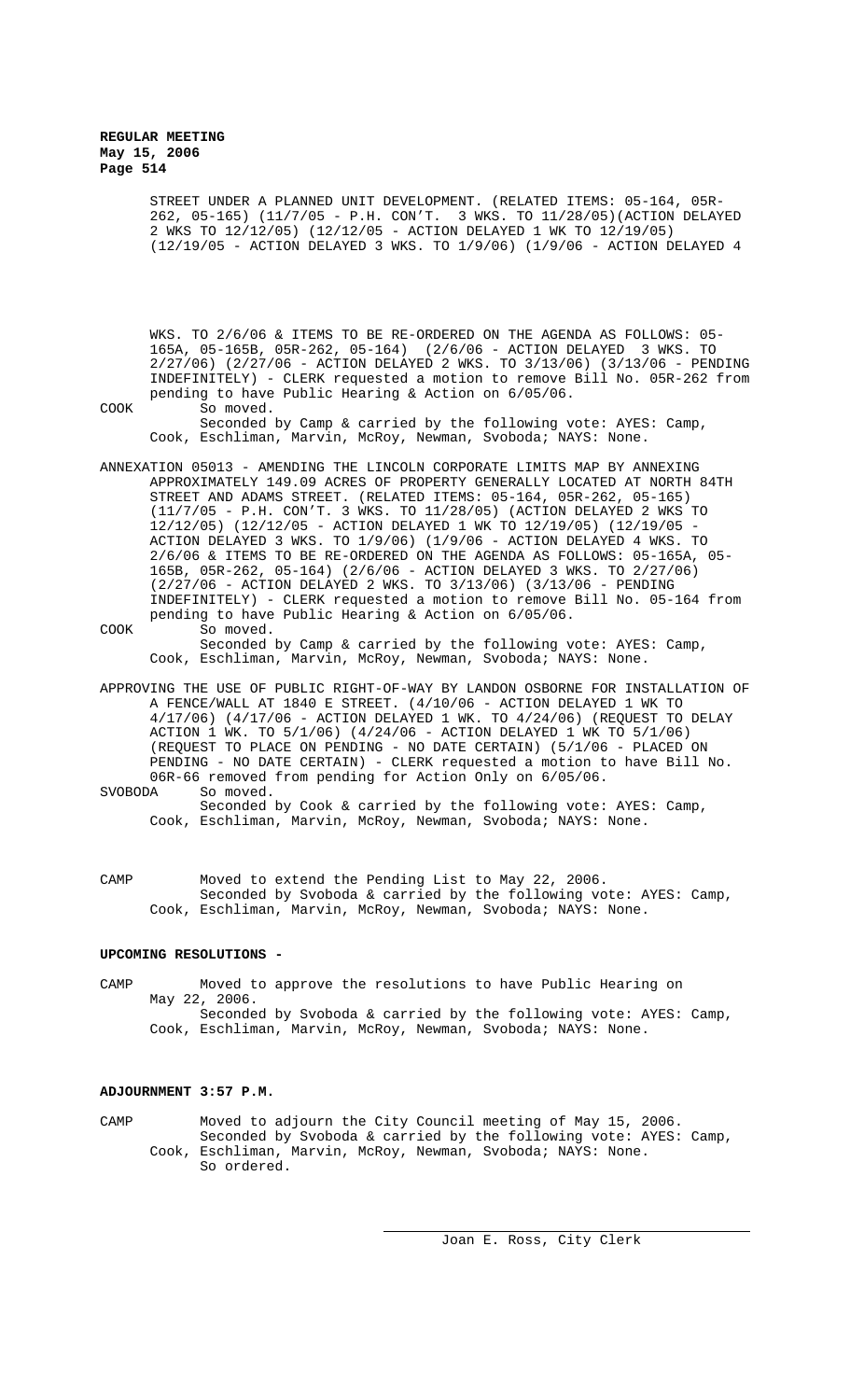> STREET UNDER A PLANNED UNIT DEVELOPMENT. (RELATED ITEMS: 05-164, 05R-262, 05-165) (11/7/05 - P.H. CON'T. 3 WKS. TO 11/28/05)(ACTION DELAYED 2 WKS TO 12/12/05) (12/12/05 - ACTION DELAYED 1 WK TO 12/19/05) (12/19/05 - ACTION DELAYED 3 WKS. TO 1/9/06) (1/9/06 - ACTION DELAYED 4

WKS. TO 2/6/06 & ITEMS TO BE RE-ORDERED ON THE AGENDA AS FOLLOWS: 05- 165A, 05-165B, 05R-262, 05-164) (2/6/06 - ACTION DELAYED 3 WKS. TO 2/27/06) (2/27/06 - ACTION DELAYED 2 WKS. TO 3/13/06) (3/13/06 - PENDING INDEFINITELY) - CLERK requested a motion to remove Bill No. 05R-262 from pending to have Public Hearing & Action on 6/05/06.

COOK So moved. Seconded by Camp & carried by the following vote: AYES: Camp, Cook, Eschliman, Marvin, McRoy, Newman, Svoboda; NAYS: None.

ANNEXATION 05013 - AMENDING THE LINCOLN CORPORATE LIMITS MAP BY ANNEXING APPROXIMATELY 149.09 ACRES OF PROPERTY GENERALLY LOCATED AT NORTH 84TH STREET AND ADAMS STREET. (RELATED ITEMS: 05-164, 05R-262, 05-165) (11/7/05 - P.H. CON'T. 3 WKS. TO 11/28/05) (ACTION DELAYED 2 WKS TO 12/12/05) (12/12/05 - ACTION DELAYED 1 WK TO 12/19/05) (12/19/05 - ACTION DELAYED 3 WKS. TO 1/9/06) (1/9/06 - ACTION DELAYED 4 WKS. TO 2/6/06 & ITEMS TO BE RE-ORDERED ON THE AGENDA AS FOLLOWS: 05-165A, 05- 165B, 05R-262, 05-164) (2/6/06 - ACTION DELAYED 3 WKS. TO 2/27/06) (2/27/06 - ACTION DELAYED 2 WKS. TO 3/13/06) (3/13/06 - PENDING INDEFINITELY) - CLERK requested a motion to remove Bill No. 05-164 from pending to have Public Hearing & Action on 6/05/06.

COOK So moved.

Seconded by Camp & carried by the following vote: AYES: Camp, Cook, Eschliman, Marvin, McRoy, Newman, Svoboda; NAYS: None.

APPROVING THE USE OF PUBLIC RIGHT-OF-WAY BY LANDON OSBORNE FOR INSTALLATION OF A FENCE/WALL AT 1840 E STREET. (4/10/06 - ACTION DELAYED 1 WK TO 4/17/06) (4/17/06 - ACTION DELAYED 1 WK. TO 4/24/06) (REQUEST TO DELAY ACTION 1 WK. TO 5/1/06) (4/24/06 - ACTION DELAYED 1 WK TO 5/1/06) (REQUEST TO PLACE ON PENDING - NO DATE CERTAIN) (5/1/06 - PLACED ON PENDING - NO DATE CERTAIN) - CLERK requested a motion to have Bill No. 06R-66 removed from pending for Action Only on 6/05/06.<br>SVOBODA So moved. So moved.

Seconded by Cook & carried by the following vote: AYES: Camp, Cook, Eschliman, Marvin, McRoy, Newman, Svoboda; NAYS: None.

CAMP Moved to extend the Pending List to May 22, 2006. Seconded by Svoboda & carried by the following vote: AYES: Camp, Cook, Eschliman, Marvin, McRoy, Newman, Svoboda; NAYS: None.

# **UPCOMING RESOLUTIONS -**

CAMP Moved to approve the resolutions to have Public Hearing on May 22, 2006. Seconded by Svoboda & carried by the following vote: AYES: Camp, Cook, Eschliman, Marvin, McRoy, Newman, Svoboda; NAYS: None.

## **ADJOURNMENT 3:57 P.M.**

CAMP Moved to adjourn the City Council meeting of May 15, 2006. Seconded by Svoboda & carried by the following vote: AYES: Camp, Cook, Eschliman, Marvin, McRoy, Newman, Svoboda; NAYS: None. So ordered.